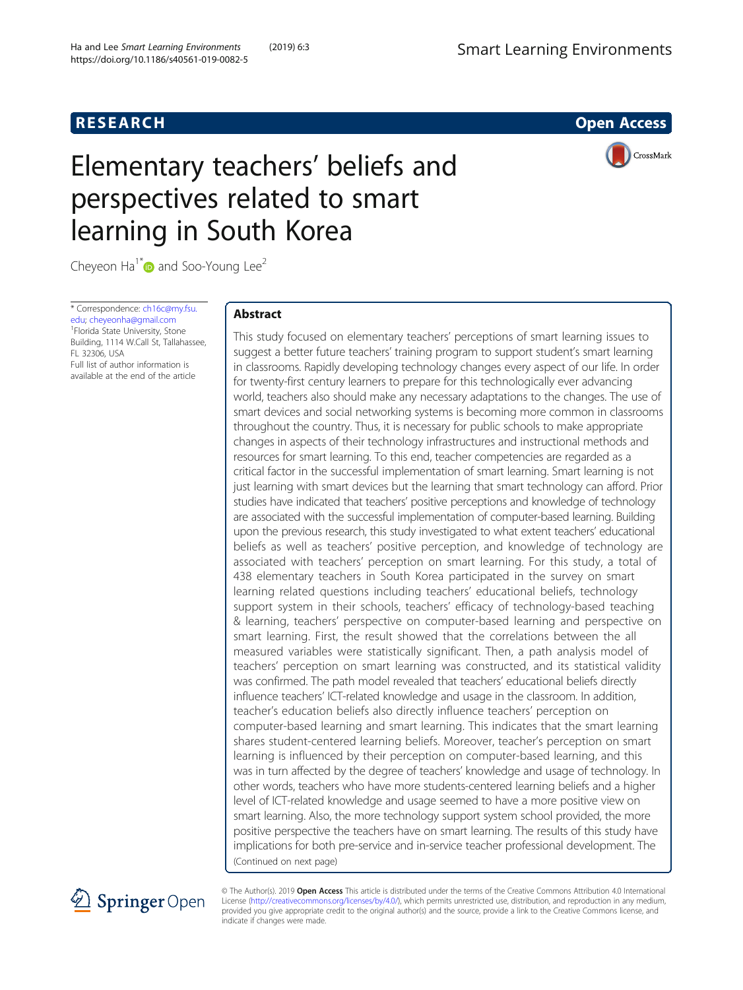# Elementary teachers' beliefs and perspectives related to smart learning in South Korea



Cheyeon  $Ha^{1*}$  and Soo-Young Lee<sup>2</sup>

\* Correspondence: [ch16c@my.fsu.](mailto:ch16c@my.fsu.edu) [edu](mailto:ch16c@my.fsu.edu); [cheyeonha@gmail.com](mailto:cheyeonha@gmail.com) <sup>1</sup> <sup>1</sup> Florida State University, Stone Building, 1114 W.Call St, Tallahassee, FL 32306, USA Full list of author information is available at the end of the article

# Abstract

This study focused on elementary teachers' perceptions of smart learning issues to suggest a better future teachers' training program to support student's smart learning in classrooms. Rapidly developing technology changes every aspect of our life. In order for twenty-first century learners to prepare for this technologically ever advancing world, teachers also should make any necessary adaptations to the changes. The use of smart devices and social networking systems is becoming more common in classrooms throughout the country. Thus, it is necessary for public schools to make appropriate changes in aspects of their technology infrastructures and instructional methods and resources for smart learning. To this end, teacher competencies are regarded as a critical factor in the successful implementation of smart learning. Smart learning is not just learning with smart devices but the learning that smart technology can afford. Prior studies have indicated that teachers' positive perceptions and knowledge of technology are associated with the successful implementation of computer-based learning. Building upon the previous research, this study investigated to what extent teachers' educational beliefs as well as teachers' positive perception, and knowledge of technology are associated with teachers' perception on smart learning. For this study, a total of 438 elementary teachers in South Korea participated in the survey on smart learning related questions including teachers' educational beliefs, technology support system in their schools, teachers' efficacy of technology-based teaching & learning, teachers' perspective on computer-based learning and perspective on smart learning. First, the result showed that the correlations between the all measured variables were statistically significant. Then, a path analysis model of teachers' perception on smart learning was constructed, and its statistical validity was confirmed. The path model revealed that teachers' educational beliefs directly influence teachers' ICT-related knowledge and usage in the classroom. In addition, teacher's education beliefs also directly influence teachers' perception on computer-based learning and smart learning. This indicates that the smart learning shares student-centered learning beliefs. Moreover, teacher's perception on smart learning is influenced by their perception on computer-based learning, and this was in turn affected by the degree of teachers' knowledge and usage of technology. In other words, teachers who have more students-centered learning beliefs and a higher level of ICT-related knowledge and usage seemed to have a more positive view on smart learning. Also, the more technology support system school provided, the more positive perspective the teachers have on smart learning. The results of this study have implications for both pre-service and in-service teacher professional development. The (Continued on next page)



© The Author(s). 2019 Open Access This article is distributed under the terms of the Creative Commons Attribution 4.0 International License [\(http://creativecommons.org/licenses/by/4.0/](http://creativecommons.org/licenses/by/4.0/)), which permits unrestricted use, distribution, and reproduction in any medium, provided you give appropriate credit to the original author(s) and the source, provide a link to the Creative Commons license, and indicate if changes were made.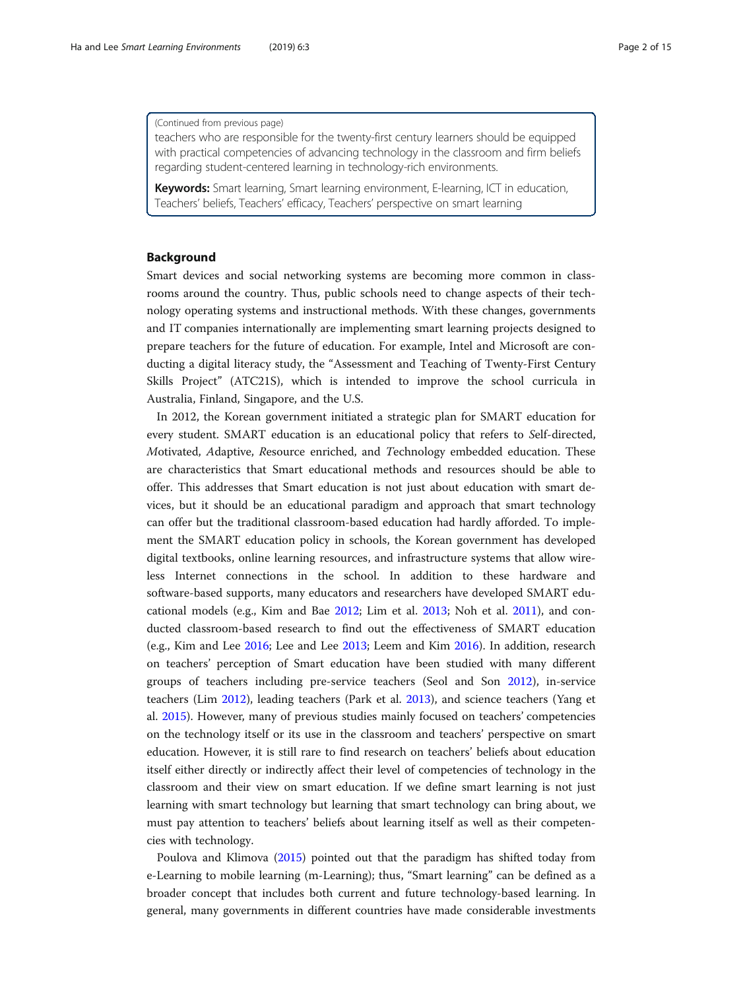#### (Continued from previous page)

teachers who are responsible for the twenty-first century learners should be equipped with practical competencies of advancing technology in the classroom and firm beliefs regarding student-centered learning in technology-rich environments.

Keywords: Smart learning, Smart learning environment, E-learning, ICT in education, Teachers' beliefs, Teachers' efficacy, Teachers' perspective on smart learning

## Background

Smart devices and social networking systems are becoming more common in classrooms around the country. Thus, public schools need to change aspects of their technology operating systems and instructional methods. With these changes, governments and IT companies internationally are implementing smart learning projects designed to prepare teachers for the future of education. For example, Intel and Microsoft are conducting a digital literacy study, the "Assessment and Teaching of Twenty-First Century Skills Project" (ATC21S), which is intended to improve the school curricula in Australia, Finland, Singapore, and the U.S.

In 2012, the Korean government initiated a strategic plan for SMART education for every student. SMART education is an educational policy that refers to Self-directed, Motivated, Adaptive, Resource enriched, and Technology embedded education. These are characteristics that Smart educational methods and resources should be able to offer. This addresses that Smart education is not just about education with smart devices, but it should be an educational paradigm and approach that smart technology can offer but the traditional classroom-based education had hardly afforded. To implement the SMART education policy in schools, the Korean government has developed digital textbooks, online learning resources, and infrastructure systems that allow wireless Internet connections in the school. In addition to these hardware and software-based supports, many educators and researchers have developed SMART educational models (e.g., Kim and Bae [2012](#page-13-0); Lim et al. [2013;](#page-13-0) Noh et al. [2011\)](#page-13-0), and conducted classroom-based research to find out the effectiveness of SMART education (e.g., Kim and Lee [2016;](#page-13-0) Lee and Lee [2013](#page-13-0); Leem and Kim [2016\)](#page-13-0). In addition, research on teachers' perception of Smart education have been studied with many different groups of teachers including pre-service teachers (Seol and Son [2012\)](#page-13-0), in-service teachers (Lim [2012](#page-13-0)), leading teachers (Park et al. [2013](#page-13-0)), and science teachers (Yang et al. [2015\)](#page-14-0). However, many of previous studies mainly focused on teachers' competencies on the technology itself or its use in the classroom and teachers' perspective on smart education. However, it is still rare to find research on teachers' beliefs about education itself either directly or indirectly affect their level of competencies of technology in the classroom and their view on smart education. If we define smart learning is not just learning with smart technology but learning that smart technology can bring about, we must pay attention to teachers' beliefs about learning itself as well as their competencies with technology.

Poulova and Klimova ([2015](#page-13-0)) pointed out that the paradigm has shifted today from e-Learning to mobile learning (m-Learning); thus, "Smart learning" can be defined as a broader concept that includes both current and future technology-based learning. In general, many governments in different countries have made considerable investments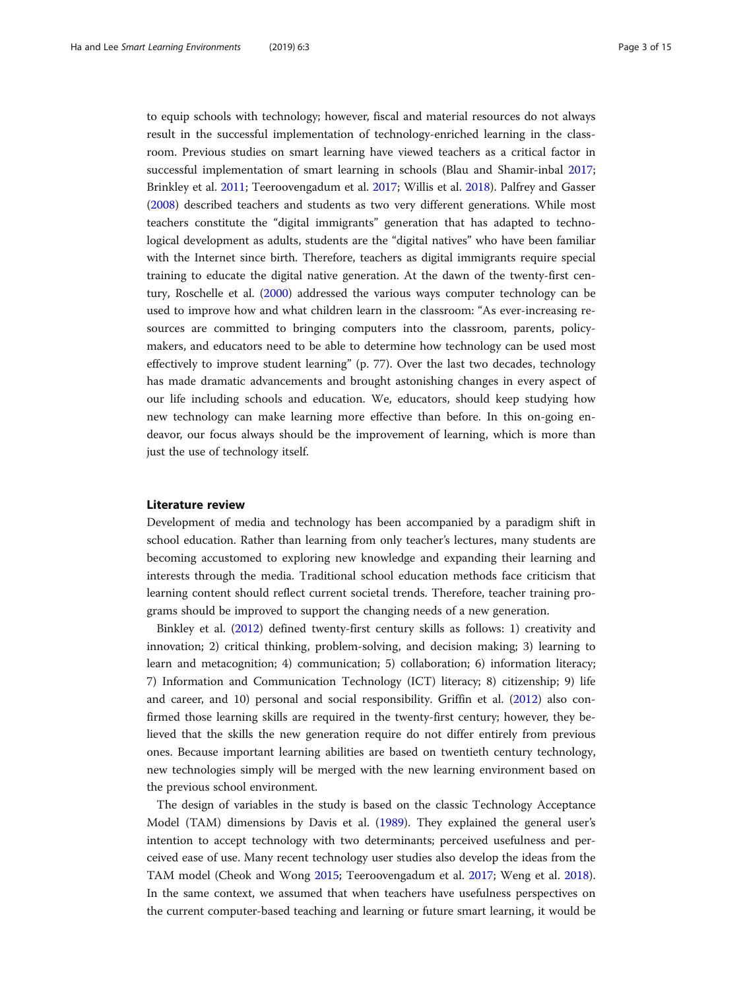to equip schools with technology; however, fiscal and material resources do not always result in the successful implementation of technology-enriched learning in the classroom. Previous studies on smart learning have viewed teachers as a critical factor in successful implementation of smart learning in schools (Blau and Shamir-inbal [2017](#page-12-0); Brinkley et al. [2011;](#page-12-0) Teeroovengadum et al. [2017;](#page-13-0) Willis et al. [2018\)](#page-14-0). Palfrey and Gasser ([2008](#page-13-0)) described teachers and students as two very different generations. While most teachers constitute the "digital immigrants" generation that has adapted to technological development as adults, students are the "digital natives" who have been familiar with the Internet since birth. Therefore, teachers as digital immigrants require special training to educate the digital native generation. At the dawn of the twenty-first century, Roschelle et al. ([2000](#page-13-0)) addressed the various ways computer technology can be used to improve how and what children learn in the classroom: "As ever-increasing resources are committed to bringing computers into the classroom, parents, policymakers, and educators need to be able to determine how technology can be used most effectively to improve student learning" (p. 77). Over the last two decades, technology has made dramatic advancements and brought astonishing changes in every aspect of our life including schools and education. We, educators, should keep studying how new technology can make learning more effective than before. In this on-going endeavor, our focus always should be the improvement of learning, which is more than just the use of technology itself.

## Literature review

Development of media and technology has been accompanied by a paradigm shift in school education. Rather than learning from only teacher's lectures, many students are becoming accustomed to exploring new knowledge and expanding their learning and interests through the media. Traditional school education methods face criticism that learning content should reflect current societal trends. Therefore, teacher training programs should be improved to support the changing needs of a new generation.

Binkley et al. [\(2012](#page-12-0)) defined twenty-first century skills as follows: 1) creativity and innovation; 2) critical thinking, problem-solving, and decision making; 3) learning to learn and metacognition; 4) communication; 5) collaboration; 6) information literacy; 7) Information and Communication Technology (ICT) literacy; 8) citizenship; 9) life and career, and 10) personal and social responsibility. Griffin et al. ([2012](#page-13-0)) also confirmed those learning skills are required in the twenty-first century; however, they believed that the skills the new generation require do not differ entirely from previous ones. Because important learning abilities are based on twentieth century technology, new technologies simply will be merged with the new learning environment based on the previous school environment.

The design of variables in the study is based on the classic Technology Acceptance Model (TAM) dimensions by Davis et al. [\(1989\)](#page-13-0). They explained the general user's intention to accept technology with two determinants; perceived usefulness and perceived ease of use. Many recent technology user studies also develop the ideas from the TAM model (Cheok and Wong [2015;](#page-13-0) Teeroovengadum et al. [2017;](#page-13-0) Weng et al. [2018](#page-14-0)). In the same context, we assumed that when teachers have usefulness perspectives on the current computer-based teaching and learning or future smart learning, it would be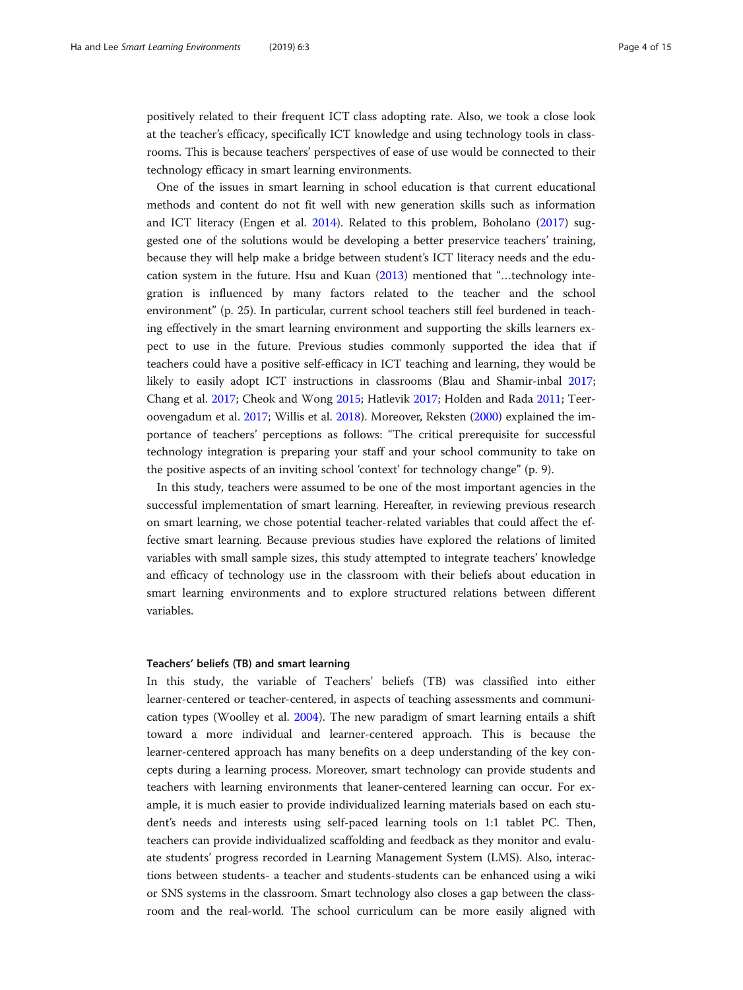positively related to their frequent ICT class adopting rate. Also, we took a close look at the teacher's efficacy, specifically ICT knowledge and using technology tools in classrooms. This is because teachers' perspectives of ease of use would be connected to their technology efficacy in smart learning environments.

One of the issues in smart learning in school education is that current educational methods and content do not fit well with new generation skills such as information and ICT literacy (Engen et al. [2014\)](#page-13-0). Related to this problem, Boholano [\(2017\)](#page-12-0) suggested one of the solutions would be developing a better preservice teachers' training, because they will help make a bridge between student's ICT literacy needs and the education system in the future. Hsu and Kuan [\(2013\)](#page-13-0) mentioned that "…technology integration is influenced by many factors related to the teacher and the school environment" (p. 25). In particular, current school teachers still feel burdened in teaching effectively in the smart learning environment and supporting the skills learners expect to use in the future. Previous studies commonly supported the idea that if teachers could have a positive self-efficacy in ICT teaching and learning, they would be likely to easily adopt ICT instructions in classrooms (Blau and Shamir-inbal [2017](#page-12-0); Chang et al. [2017](#page-13-0); Cheok and Wong [2015](#page-13-0); Hatlevik [2017](#page-13-0); Holden and Rada [2011](#page-13-0); Teeroovengadum et al. [2017](#page-13-0); Willis et al. [2018](#page-14-0)). Moreover, Reksten ([2000\)](#page-13-0) explained the importance of teachers' perceptions as follows: "The critical prerequisite for successful technology integration is preparing your staff and your school community to take on the positive aspects of an inviting school 'context' for technology change" (p. 9).

In this study, teachers were assumed to be one of the most important agencies in the successful implementation of smart learning. Hereafter, in reviewing previous research on smart learning, we chose potential teacher-related variables that could affect the effective smart learning. Because previous studies have explored the relations of limited variables with small sample sizes, this study attempted to integrate teachers' knowledge and efficacy of technology use in the classroom with their beliefs about education in smart learning environments and to explore structured relations between different variables.

## Teachers' beliefs (TB) and smart learning

In this study, the variable of Teachers' beliefs (TB) was classified into either learner-centered or teacher-centered, in aspects of teaching assessments and communication types (Woolley et al. [2004](#page-14-0)). The new paradigm of smart learning entails a shift toward a more individual and learner-centered approach. This is because the learner-centered approach has many benefits on a deep understanding of the key concepts during a learning process. Moreover, smart technology can provide students and teachers with learning environments that leaner-centered learning can occur. For example, it is much easier to provide individualized learning materials based on each student's needs and interests using self-paced learning tools on 1:1 tablet PC. Then, teachers can provide individualized scaffolding and feedback as they monitor and evaluate students' progress recorded in Learning Management System (LMS). Also, interactions between students- a teacher and students-students can be enhanced using a wiki or SNS systems in the classroom. Smart technology also closes a gap between the classroom and the real-world. The school curriculum can be more easily aligned with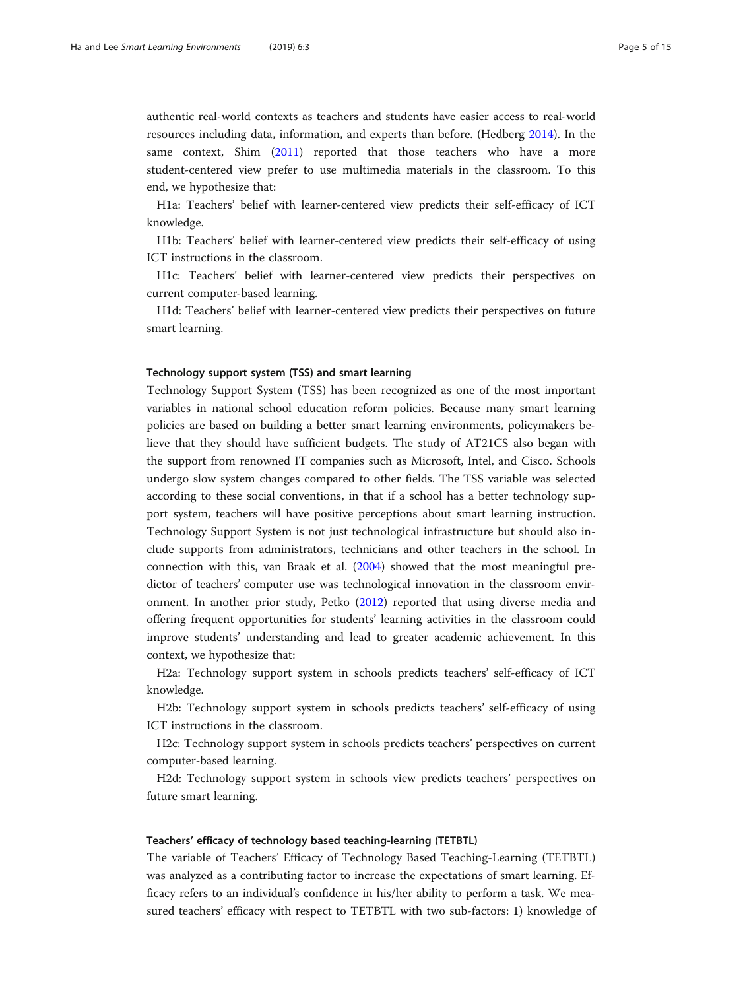authentic real-world contexts as teachers and students have easier access to real-world resources including data, information, and experts than before. (Hedberg [2014\)](#page-13-0). In the same context, Shim [\(2011](#page-13-0)) reported that those teachers who have a more student-centered view prefer to use multimedia materials in the classroom. To this end, we hypothesize that:

H1a: Teachers' belief with learner-centered view predicts their self-efficacy of ICT knowledge.

H1b: Teachers' belief with learner-centered view predicts their self-efficacy of using ICT instructions in the classroom.

H1c: Teachers' belief with learner-centered view predicts their perspectives on current computer-based learning.

H1d: Teachers' belief with learner-centered view predicts their perspectives on future smart learning.

## Technology support system (TSS) and smart learning

Technology Support System (TSS) has been recognized as one of the most important variables in national school education reform policies. Because many smart learning policies are based on building a better smart learning environments, policymakers believe that they should have sufficient budgets. The study of AT21CS also began with the support from renowned IT companies such as Microsoft, Intel, and Cisco. Schools undergo slow system changes compared to other fields. The TSS variable was selected according to these social conventions, in that if a school has a better technology support system, teachers will have positive perceptions about smart learning instruction. Technology Support System is not just technological infrastructure but should also include supports from administrators, technicians and other teachers in the school. In connection with this, van Braak et al. [\(2004\)](#page-13-0) showed that the most meaningful predictor of teachers' computer use was technological innovation in the classroom environment. In another prior study, Petko ([2012\)](#page-13-0) reported that using diverse media and offering frequent opportunities for students' learning activities in the classroom could improve students' understanding and lead to greater academic achievement. In this context, we hypothesize that:

H2a: Technology support system in schools predicts teachers' self-efficacy of ICT knowledge.

H2b: Technology support system in schools predicts teachers' self-efficacy of using ICT instructions in the classroom.

H2c: Technology support system in schools predicts teachers' perspectives on current computer-based learning.

H2d: Technology support system in schools view predicts teachers' perspectives on future smart learning.

## Teachers' efficacy of technology based teaching-learning (TETBTL)

The variable of Teachers' Efficacy of Technology Based Teaching-Learning (TETBTL) was analyzed as a contributing factor to increase the expectations of smart learning. Efficacy refers to an individual's confidence in his/her ability to perform a task. We measured teachers' efficacy with respect to TETBTL with two sub-factors: 1) knowledge of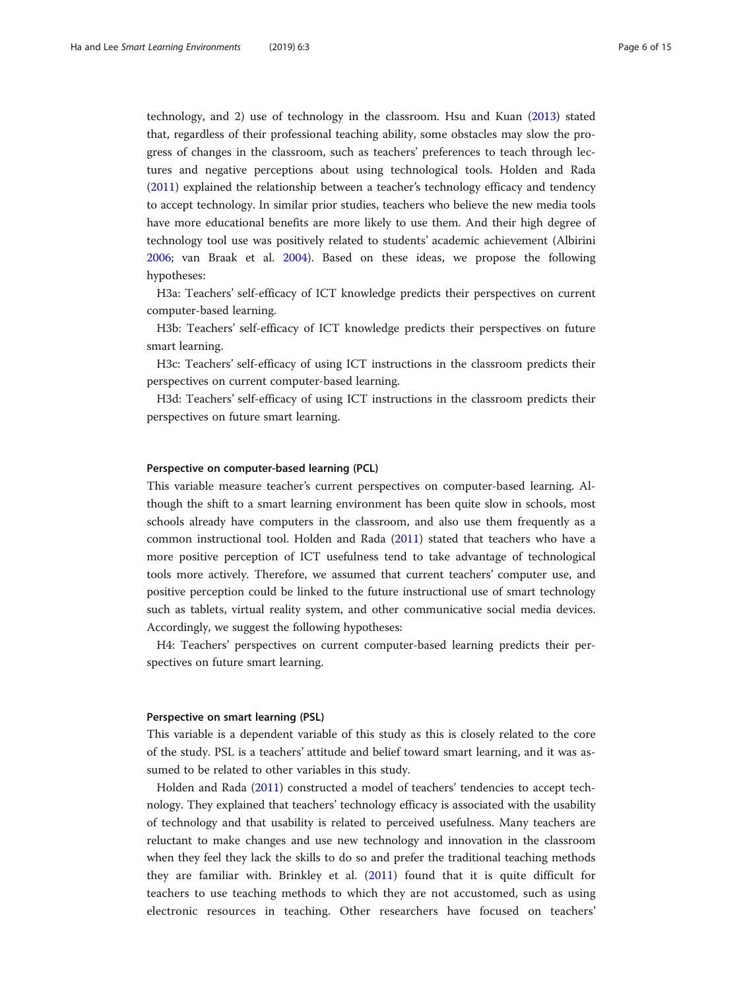technology, and 2) use of technology in the classroom. Hsu and Kuan [\(2013](#page-13-0)) stated that, regardless of their professional teaching ability, some obstacles may slow the progress of changes in the classroom, such as teachers' preferences to teach through lectures and negative perceptions about using technological tools. Holden and Rada ([2011](#page-13-0)) explained the relationship between a teacher's technology efficacy and tendency to accept technology. In similar prior studies, teachers who believe the new media tools have more educational benefits are more likely to use them. And their high degree of technology tool use was positively related to students' academic achievement (Albirini [2006](#page-12-0); van Braak et al. [2004\)](#page-13-0). Based on these ideas, we propose the following hypotheses:

H3a: Teachers' self-efficacy of ICT knowledge predicts their perspectives on current computer-based learning.

H3b: Teachers' self-efficacy of ICT knowledge predicts their perspectives on future smart learning.

H3c: Teachers' self-efficacy of using ICT instructions in the classroom predicts their perspectives on current computer-based learning.

H3d: Teachers' self-efficacy of using ICT instructions in the classroom predicts their perspectives on future smart learning.

## Perspective on computer-based learning (PCL)

This variable measure teacher's current perspectives on computer-based learning. Although the shift to a smart learning environment has been quite slow in schools, most schools already have computers in the classroom, and also use them frequently as a common instructional tool. Holden and Rada ([2011](#page-13-0)) stated that teachers who have a more positive perception of ICT usefulness tend to take advantage of technological tools more actively. Therefore, we assumed that current teachers' computer use, and positive perception could be linked to the future instructional use of smart technology such as tablets, virtual reality system, and other communicative social media devices. Accordingly, we suggest the following hypotheses:

H4: Teachers' perspectives on current computer-based learning predicts their perspectives on future smart learning.

#### Perspective on smart learning (PSL)

This variable is a dependent variable of this study as this is closely related to the core of the study. PSL is a teachers' attitude and belief toward smart learning, and it was assumed to be related to other variables in this study.

Holden and Rada [\(2011](#page-13-0)) constructed a model of teachers' tendencies to accept technology. They explained that teachers' technology efficacy is associated with the usability of technology and that usability is related to perceived usefulness. Many teachers are reluctant to make changes and use new technology and innovation in the classroom when they feel they lack the skills to do so and prefer the traditional teaching methods they are familiar with. Brinkley et al. ([2011\)](#page-12-0) found that it is quite difficult for teachers to use teaching methods to which they are not accustomed, such as using electronic resources in teaching. Other researchers have focused on teachers'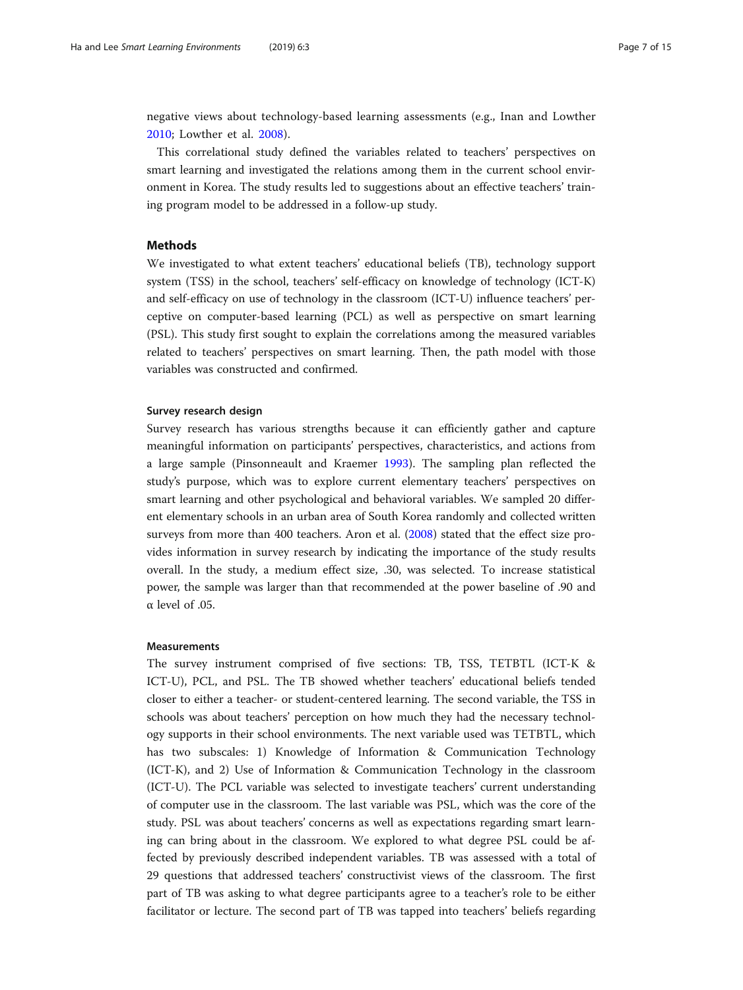negative views about technology-based learning assessments (e.g., Inan and Lowther [2010;](#page-13-0) Lowther et al. [2008](#page-13-0)).

This correlational study defined the variables related to teachers' perspectives on smart learning and investigated the relations among them in the current school environment in Korea. The study results led to suggestions about an effective teachers' training program model to be addressed in a follow-up study.

## **Methods**

We investigated to what extent teachers' educational beliefs (TB), technology support system (TSS) in the school, teachers' self-efficacy on knowledge of technology (ICT-K) and self-efficacy on use of technology in the classroom (ICT-U) influence teachers' perceptive on computer-based learning (PCL) as well as perspective on smart learning (PSL). This study first sought to explain the correlations among the measured variables related to teachers' perspectives on smart learning. Then, the path model with those variables was constructed and confirmed.

#### Survey research design

Survey research has various strengths because it can efficiently gather and capture meaningful information on participants' perspectives, characteristics, and actions from a large sample (Pinsonneault and Kraemer [1993\)](#page-13-0). The sampling plan reflected the study's purpose, which was to explore current elementary teachers' perspectives on smart learning and other psychological and behavioral variables. We sampled 20 different elementary schools in an urban area of South Korea randomly and collected written surveys from more than 400 teachers. Aron et al. ([2008](#page-12-0)) stated that the effect size provides information in survey research by indicating the importance of the study results overall. In the study, a medium effect size, .30, was selected. To increase statistical power, the sample was larger than that recommended at the power baseline of .90 and α level of .05.

#### Measurements

The survey instrument comprised of five sections: TB, TSS, TETBTL (ICT-K & ICT-U), PCL, and PSL. The TB showed whether teachers' educational beliefs tended closer to either a teacher- or student-centered learning. The second variable, the TSS in schools was about teachers' perception on how much they had the necessary technology supports in their school environments. The next variable used was TETBTL, which has two subscales: 1) Knowledge of Information & Communication Technology (ICT-K), and 2) Use of Information & Communication Technology in the classroom (ICT-U). The PCL variable was selected to investigate teachers' current understanding of computer use in the classroom. The last variable was PSL, which was the core of the study. PSL was about teachers' concerns as well as expectations regarding smart learning can bring about in the classroom. We explored to what degree PSL could be affected by previously described independent variables. TB was assessed with a total of 29 questions that addressed teachers' constructivist views of the classroom. The first part of TB was asking to what degree participants agree to a teacher's role to be either facilitator or lecture. The second part of TB was tapped into teachers' beliefs regarding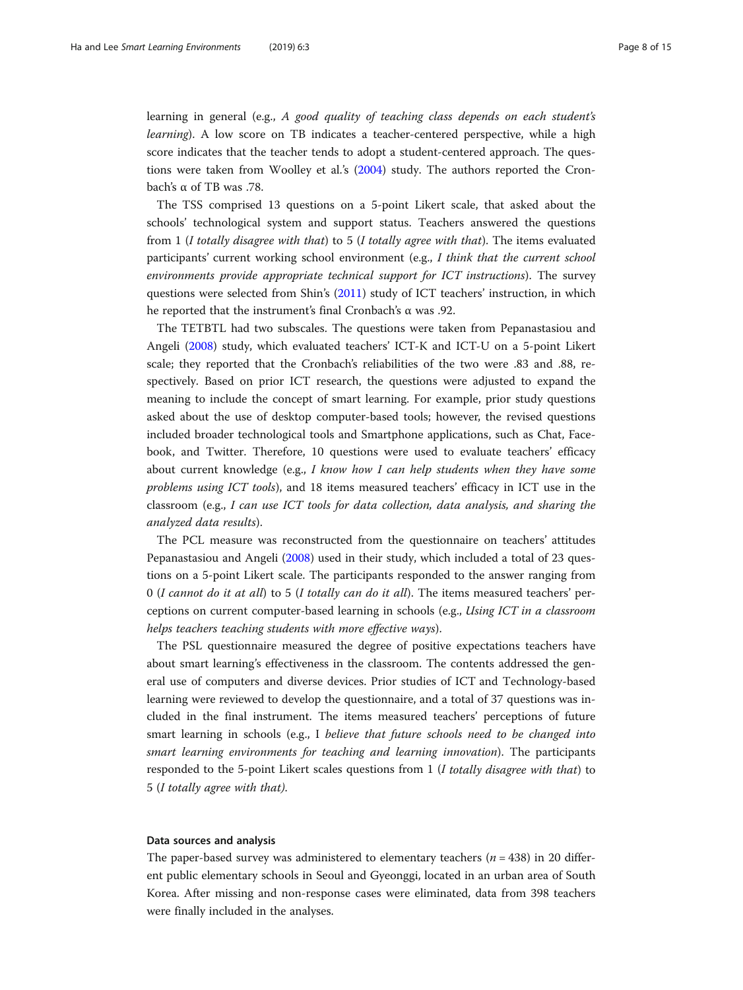learning in general (e.g., A good quality of teaching class depends on each student's learning). A low score on TB indicates a teacher-centered perspective, while a high score indicates that the teacher tends to adopt a student-centered approach. The questions were taken from Woolley et al.'s ([2004\)](#page-14-0) study. The authors reported the Cronbach's α of TB was .78.

The TSS comprised 13 questions on a 5-point Likert scale, that asked about the schools' technological system and support status. Teachers answered the questions from 1 (I totally disagree with that) to 5 (I totally agree with that). The items evaluated participants' current working school environment (e.g., I think that the current school environments provide appropriate technical support for ICT instructions). The survey questions were selected from Shin's ([2011](#page-13-0)) study of ICT teachers' instruction, in which he reported that the instrument's final Cronbach's α was .92.

The TETBTL had two subscales. The questions were taken from Pepanastasiou and Angeli [\(2008\)](#page-13-0) study, which evaluated teachers' ICT-K and ICT-U on a 5-point Likert scale; they reported that the Cronbach's reliabilities of the two were .83 and .88, respectively. Based on prior ICT research, the questions were adjusted to expand the meaning to include the concept of smart learning. For example, prior study questions asked about the use of desktop computer-based tools; however, the revised questions included broader technological tools and Smartphone applications, such as Chat, Facebook, and Twitter. Therefore, 10 questions were used to evaluate teachers' efficacy about current knowledge (e.g.,  $I$  know how  $I$  can help students when they have some problems using ICT tools), and 18 items measured teachers' efficacy in ICT use in the classroom (e.g., I can use ICT tools for data collection, data analysis, and sharing the analyzed data results).

The PCL measure was reconstructed from the questionnaire on teachers' attitudes Pepanastasiou and Angeli [\(2008\)](#page-13-0) used in their study, which included a total of 23 questions on a 5-point Likert scale. The participants responded to the answer ranging from 0 (I cannot do it at all) to 5 (I totally can do it all). The items measured teachers' perceptions on current computer-based learning in schools (e.g., Using ICT in a classroom helps teachers teaching students with more effective ways).

The PSL questionnaire measured the degree of positive expectations teachers have about smart learning's effectiveness in the classroom. The contents addressed the general use of computers and diverse devices. Prior studies of ICT and Technology-based learning were reviewed to develop the questionnaire, and a total of 37 questions was included in the final instrument. The items measured teachers' perceptions of future smart learning in schools (e.g., I believe that future schools need to be changed into smart learning environments for teaching and learning innovation). The participants responded to the 5-point Likert scales questions from 1 (I totally disagree with that) to 5 (I totally agree with that).

## Data sources and analysis

The paper-based survey was administered to elementary teachers ( $n = 438$ ) in 20 different public elementary schools in Seoul and Gyeonggi, located in an urban area of South Korea. After missing and non-response cases were eliminated, data from 398 teachers were finally included in the analyses.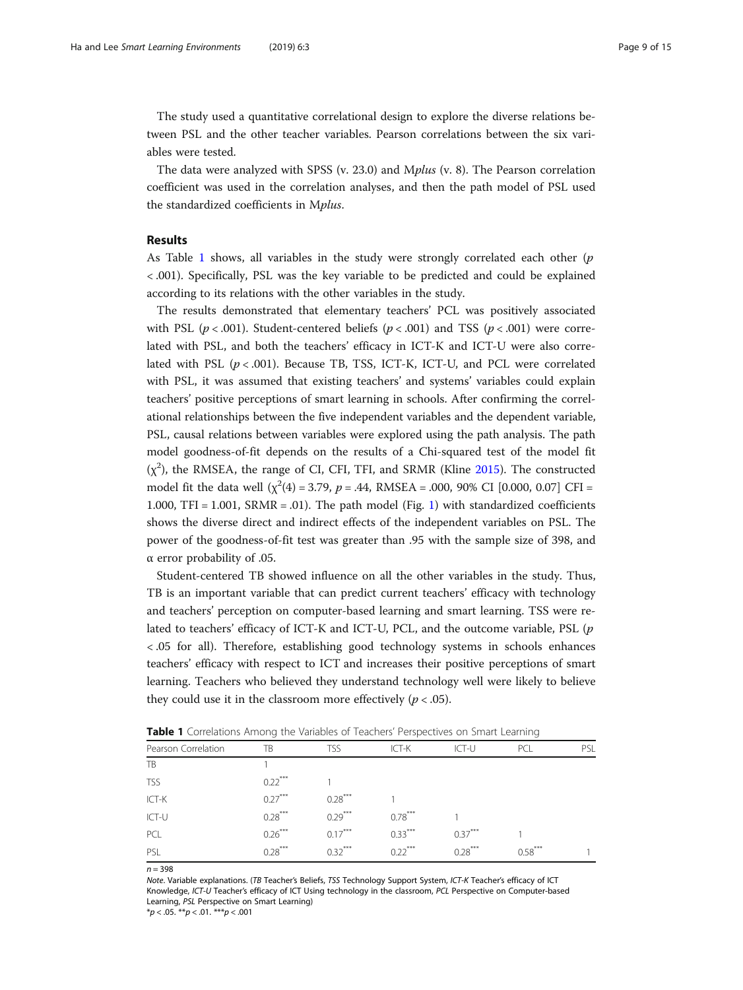The study used a quantitative correlational design to explore the diverse relations between PSL and the other teacher variables. Pearson correlations between the six variables were tested.

The data were analyzed with SPSS (v. 23.0) and Mplus (v. 8). The Pearson correlation coefficient was used in the correlation analyses, and then the path model of PSL used the standardized coefficients in Mplus.

## Results

As Table 1 shows, all variables in the study were strongly correlated each other  $(p)$ < .001). Specifically, PSL was the key variable to be predicted and could be explained according to its relations with the other variables in the study.

The results demonstrated that elementary teachers' PCL was positively associated with PSL ( $p < .001$ ). Student-centered beliefs ( $p < .001$ ) and TSS ( $p < .001$ ) were correlated with PSL, and both the teachers' efficacy in ICT-K and ICT-U were also correlated with PSL  $(p < .001)$ . Because TB, TSS, ICT-K, ICT-U, and PCL were correlated with PSL, it was assumed that existing teachers' and systems' variables could explain teachers' positive perceptions of smart learning in schools. After confirming the correlational relationships between the five independent variables and the dependent variable, PSL, causal relations between variables were explored using the path analysis. The path model goodness-of-fit depends on the results of a Chi-squared test of the model fit  $(\chi^2)$ , the RMSEA, the range of CI, CFI, TFI, and SRMR (Kline [2015\)](#page-13-0). The constructed model fit the data well ( $\chi^2(4) = 3.79$ ,  $p = .44$ , RMSEA = .000, 90% CI [0.000, 0.07] CFI = 1.000, TFI =  $1.001$ , SRMR = .0[1\)](#page-9-0). The path model (Fig. 1) with standardized coefficients shows the diverse direct and indirect effects of the independent variables on PSL. The power of the goodness-of-fit test was greater than .95 with the sample size of 398, and α error probability of .05.

Student-centered TB showed influence on all the other variables in the study. Thus, TB is an important variable that can predict current teachers' efficacy with technology and teachers' perception on computer-based learning and smart learning. TSS were related to teachers' efficacy of ICT-K and ICT-U, PCL, and the outcome variable, PSL (p < .05 for all). Therefore, establishing good technology systems in schools enhances teachers' efficacy with respect to ICT and increases their positive perceptions of smart learning. Teachers who believed they understand technology well were likely to believe they could use it in the classroom more effectively ( $p < .05$ ).

| <b>Table T</b> Correlations Among the Variables of Teachers' Perspectives on Smart Learning |                             |           |           |           |                |     |
|---------------------------------------------------------------------------------------------|-----------------------------|-----------|-----------|-----------|----------------|-----|
| Pearson Correlation                                                                         | ΤB                          | TSS       | $ICT-K$   | ICT-U     | PCL.           | PSL |
| TB                                                                                          |                             |           |           |           |                |     |
| <b>TSS</b>                                                                                  | ***<br>$0.22$ <sup>**</sup> |           |           |           |                |     |
| ICT-K                                                                                       | $0.27***$                   | $0.28***$ |           |           |                |     |
| ICT-U                                                                                       | $***$<br>$0.28^{\degree}$   | $0.29***$ | 0.78      |           |                |     |
| PCL                                                                                         | $0.26***$                   | $0.17***$ | $0.33***$ | $0.37***$ |                |     |
| PSL                                                                                         | $0.28***$                   | $0.32***$ | $0.22***$ | $0.28***$ | $0.58^{\circ}$ |     |

Table 1 Correlations Among the Variables of Teachers' Perspectives on Smart Learning

n = 398<br>Note N

Note. Variable explanations. (TB Teacher's Beliefs, TSS Technology Support System, ICT-K Teacher's efficacy of ICT Knowledge, ICT-U Teacher's efficacy of ICT Using technology in the classroom, PCL Perspective on Computer-based Learning, PSL Perspective on Smart Learning)

 $*p < .05.$   $**p < .01.$   $***p < .001$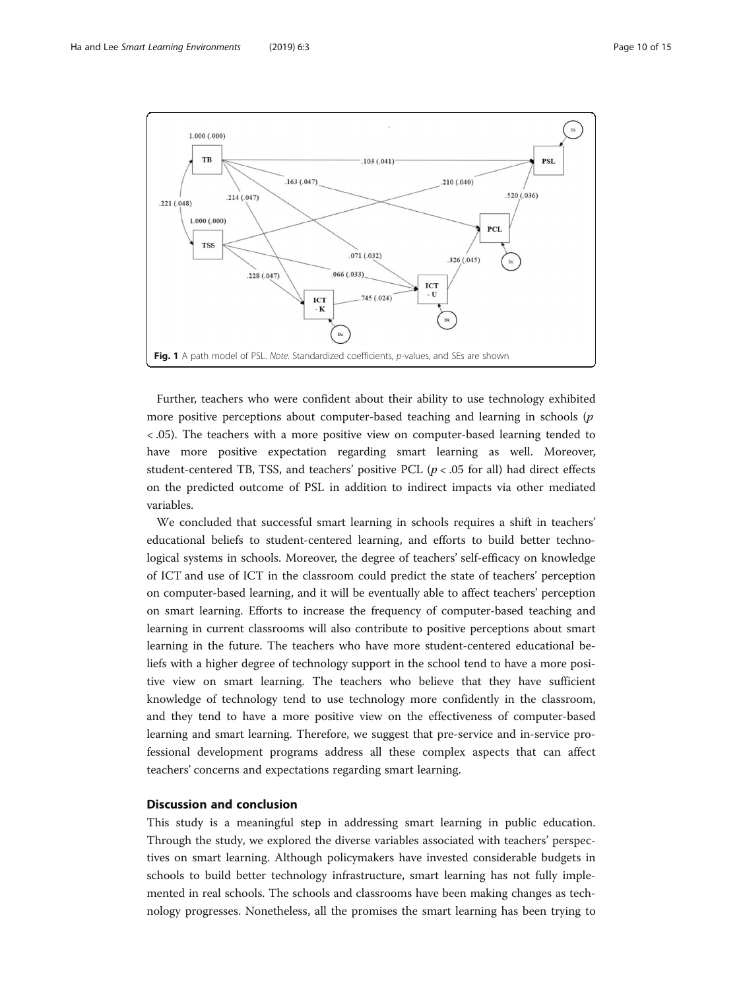<span id="page-9-0"></span>

Further, teachers who were confident about their ability to use technology exhibited more positive perceptions about computer-based teaching and learning in schools (p < .05). The teachers with a more positive view on computer-based learning tended to have more positive expectation regarding smart learning as well. Moreover, student-centered TB, TSS, and teachers' positive PCL ( $p < .05$  for all) had direct effects on the predicted outcome of PSL in addition to indirect impacts via other mediated variables.

We concluded that successful smart learning in schools requires a shift in teachers' educational beliefs to student-centered learning, and efforts to build better technological systems in schools. Moreover, the degree of teachers' self-efficacy on knowledge of ICT and use of ICT in the classroom could predict the state of teachers' perception on computer-based learning, and it will be eventually able to affect teachers' perception on smart learning. Efforts to increase the frequency of computer-based teaching and learning in current classrooms will also contribute to positive perceptions about smart learning in the future. The teachers who have more student-centered educational beliefs with a higher degree of technology support in the school tend to have a more positive view on smart learning. The teachers who believe that they have sufficient knowledge of technology tend to use technology more confidently in the classroom, and they tend to have a more positive view on the effectiveness of computer-based learning and smart learning. Therefore, we suggest that pre-service and in-service professional development programs address all these complex aspects that can affect teachers' concerns and expectations regarding smart learning.

## Discussion and conclusion

This study is a meaningful step in addressing smart learning in public education. Through the study, we explored the diverse variables associated with teachers' perspectives on smart learning. Although policymakers have invested considerable budgets in schools to build better technology infrastructure, smart learning has not fully implemented in real schools. The schools and classrooms have been making changes as technology progresses. Nonetheless, all the promises the smart learning has been trying to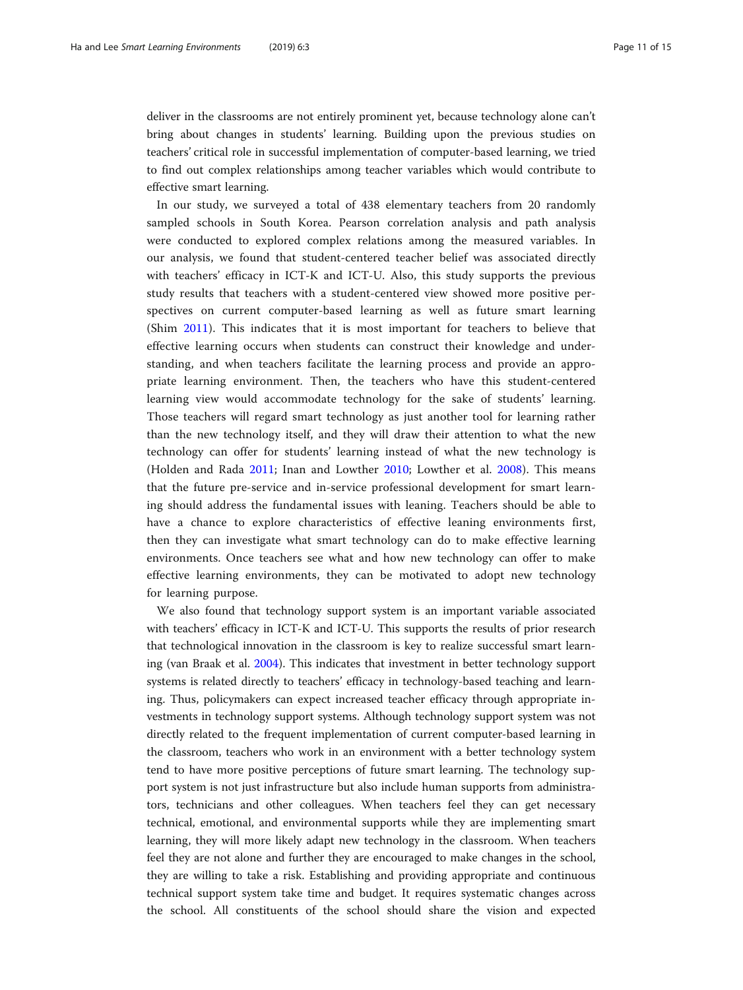deliver in the classrooms are not entirely prominent yet, because technology alone can't bring about changes in students' learning. Building upon the previous studies on teachers' critical role in successful implementation of computer-based learning, we tried to find out complex relationships among teacher variables which would contribute to effective smart learning.

In our study, we surveyed a total of 438 elementary teachers from 20 randomly sampled schools in South Korea. Pearson correlation analysis and path analysis were conducted to explored complex relations among the measured variables. In our analysis, we found that student-centered teacher belief was associated directly with teachers' efficacy in ICT-K and ICT-U. Also, this study supports the previous study results that teachers with a student-centered view showed more positive perspectives on current computer-based learning as well as future smart learning (Shim [2011](#page-13-0)). This indicates that it is most important for teachers to believe that effective learning occurs when students can construct their knowledge and understanding, and when teachers facilitate the learning process and provide an appropriate learning environment. Then, the teachers who have this student-centered learning view would accommodate technology for the sake of students' learning. Those teachers will regard smart technology as just another tool for learning rather than the new technology itself, and they will draw their attention to what the new technology can offer for students' learning instead of what the new technology is (Holden and Rada [2011](#page-13-0); Inan and Lowther [2010;](#page-13-0) Lowther et al. [2008\)](#page-13-0). This means that the future pre-service and in-service professional development for smart learning should address the fundamental issues with leaning. Teachers should be able to have a chance to explore characteristics of effective leaning environments first, then they can investigate what smart technology can do to make effective learning environments. Once teachers see what and how new technology can offer to make effective learning environments, they can be motivated to adopt new technology for learning purpose.

We also found that technology support system is an important variable associated with teachers' efficacy in ICT-K and ICT-U. This supports the results of prior research that technological innovation in the classroom is key to realize successful smart learning (van Braak et al. [2004](#page-13-0)). This indicates that investment in better technology support systems is related directly to teachers' efficacy in technology-based teaching and learning. Thus, policymakers can expect increased teacher efficacy through appropriate investments in technology support systems. Although technology support system was not directly related to the frequent implementation of current computer-based learning in the classroom, teachers who work in an environment with a better technology system tend to have more positive perceptions of future smart learning. The technology support system is not just infrastructure but also include human supports from administrators, technicians and other colleagues. When teachers feel they can get necessary technical, emotional, and environmental supports while they are implementing smart learning, they will more likely adapt new technology in the classroom. When teachers feel they are not alone and further they are encouraged to make changes in the school, they are willing to take a risk. Establishing and providing appropriate and continuous technical support system take time and budget. It requires systematic changes across the school. All constituents of the school should share the vision and expected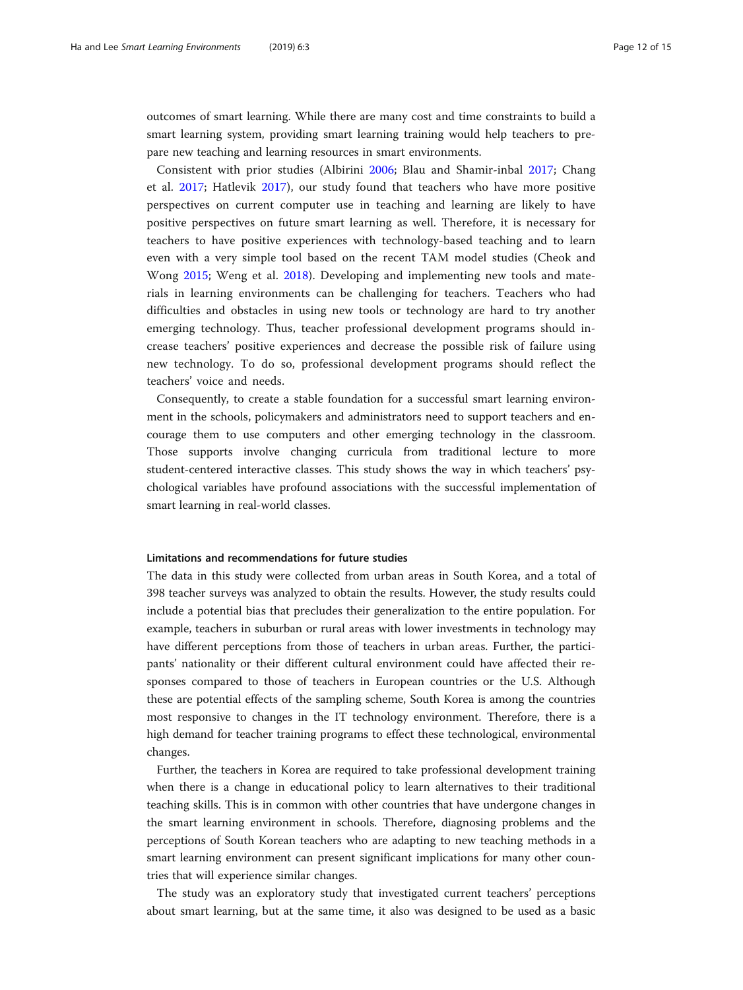outcomes of smart learning. While there are many cost and time constraints to build a smart learning system, providing smart learning training would help teachers to prepare new teaching and learning resources in smart environments.

Consistent with prior studies (Albirini [2006](#page-12-0); Blau and Shamir-inbal [2017;](#page-12-0) Chang et al. [2017;](#page-13-0) Hatlevik [2017\)](#page-13-0), our study found that teachers who have more positive perspectives on current computer use in teaching and learning are likely to have positive perspectives on future smart learning as well. Therefore, it is necessary for teachers to have positive experiences with technology-based teaching and to learn even with a very simple tool based on the recent TAM model studies (Cheok and Wong [2015](#page-13-0); Weng et al. [2018](#page-14-0)). Developing and implementing new tools and materials in learning environments can be challenging for teachers. Teachers who had difficulties and obstacles in using new tools or technology are hard to try another emerging technology. Thus, teacher professional development programs should increase teachers' positive experiences and decrease the possible risk of failure using new technology. To do so, professional development programs should reflect the teachers' voice and needs.

Consequently, to create a stable foundation for a successful smart learning environment in the schools, policymakers and administrators need to support teachers and encourage them to use computers and other emerging technology in the classroom. Those supports involve changing curricula from traditional lecture to more student-centered interactive classes. This study shows the way in which teachers' psychological variables have profound associations with the successful implementation of smart learning in real-world classes.

## Limitations and recommendations for future studies

The data in this study were collected from urban areas in South Korea, and a total of 398 teacher surveys was analyzed to obtain the results. However, the study results could include a potential bias that precludes their generalization to the entire population. For example, teachers in suburban or rural areas with lower investments in technology may have different perceptions from those of teachers in urban areas. Further, the participants' nationality or their different cultural environment could have affected their responses compared to those of teachers in European countries or the U.S. Although these are potential effects of the sampling scheme, South Korea is among the countries most responsive to changes in the IT technology environment. Therefore, there is a high demand for teacher training programs to effect these technological, environmental changes.

Further, the teachers in Korea are required to take professional development training when there is a change in educational policy to learn alternatives to their traditional teaching skills. This is in common with other countries that have undergone changes in the smart learning environment in schools. Therefore, diagnosing problems and the perceptions of South Korean teachers who are adapting to new teaching methods in a smart learning environment can present significant implications for many other countries that will experience similar changes.

The study was an exploratory study that investigated current teachers' perceptions about smart learning, but at the same time, it also was designed to be used as a basic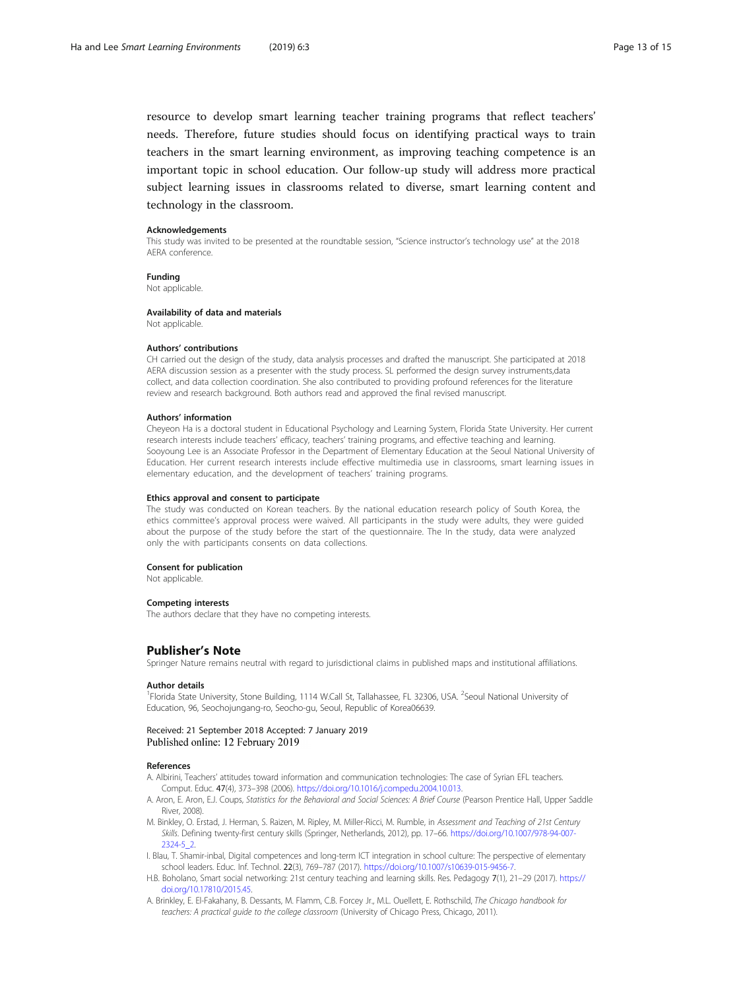<span id="page-12-0"></span>resource to develop smart learning teacher training programs that reflect teachers' needs. Therefore, future studies should focus on identifying practical ways to train teachers in the smart learning environment, as improving teaching competence is an important topic in school education. Our follow-up study will address more practical subject learning issues in classrooms related to diverse, smart learning content and technology in the classroom.

#### Acknowledgements

This study was invited to be presented at the roundtable session, "Science instructor's technology use" at the 2018 AERA conference.

#### Funding

Not applicable.

#### Availability of data and materials

Not applicable.

#### Authors' contributions

CH carried out the design of the study, data analysis processes and drafted the manuscript. She participated at 2018 AERA discussion session as a presenter with the study process. SL performed the design survey instruments,data collect, and data collection coordination. She also contributed to providing profound references for the literature review and research background. Both authors read and approved the final revised manuscript.

#### Authors' information

Cheyeon Ha is a doctoral student in Educational Psychology and Learning System, Florida State University. Her current research interests include teachers' efficacy, teachers' training programs, and effective teaching and learning. Sooyoung Lee is an Associate Professor in the Department of Elementary Education at the Seoul National University of Education. Her current research interests include effective multimedia use in classrooms, smart learning issues in elementary education, and the development of teachers' training programs.

#### Ethics approval and consent to participate

The study was conducted on Korean teachers. By the national education research policy of South Korea, the ethics committee's approval process were waived. All participants in the study were adults, they were guided about the purpose of the study before the start of the questionnaire. The In the study, data were analyzed only the with participants consents on data collections.

#### Consent for publication

Not applicable.

#### Competing interests

The authors declare that they have no competing interests.

## Publisher's Note

Springer Nature remains neutral with regard to jurisdictional claims in published maps and institutional affiliations.

#### Author details

<sup>1</sup>Florida State University, Stone Building, 1114 W.Call St, Tallahassee, FL 32306, USA. <sup>2</sup>Seoul National University of Education, 96, Seochojungang-ro, Seocho-gu, Seoul, Republic of Korea06639.

## Received: 21 September 2018 Accepted: 7 January 2019 Published online: 12 February 2019

#### References

A. Albirini, Teachers' attitudes toward information and communication technologies: The case of Syrian EFL teachers. Comput. Educ. 47(4), 373–398 (2006). [https://doi.org/10.1016/j.compedu.2004.10.013.](https://doi.org/10.1016/j.compedu.2004.10.013)

- A. Aron, E. Aron, E.J. Coups, Statistics for the Behavioral and Social Sciences: A Brief Course (Pearson Prentice Hall, Upper Saddle River, 2008).
- M. Binkley, O. Erstad, J. Herman, S. Raizen, M. Ripley, M. Miller-Ricci, M. Rumble, in Assessment and Teaching of 21st Century Skills. Defining twenty-first century skills (Springer, Netherlands, 2012), pp. 17–66. [https://doi.org/10.1007/978-94-007-](https://doi.org/10.1007/978-94-007-2324-5_2) [2324-5\\_2.](https://doi.org/10.1007/978-94-007-2324-5_2)
- I. Blau, T. Shamir-inbal, Digital competences and long-term ICT integration in school culture: The perspective of elementary school leaders. Educ. Inf. Technol. 22(3), 769–787 (2017). <https://doi.org/10.1007/s10639-015-9456-7>.
- H.B. Boholano, Smart social networking: 21st century teaching and learning skills. Res. Pedagogy 7(1), 21–29 (2017). [https://](https://doi.org/10.17810/2015.45) [doi.org/10.17810/2015.45](https://doi.org/10.17810/2015.45).
- A. Brinkley, E. El-Fakahany, B. Dessants, M. Flamm, C.B. Forcey Jr., M.L. Ouellett, E. Rothschild, The Chicago handbook for teachers: A practical guide to the college classroom (University of Chicago Press, Chicago, 2011).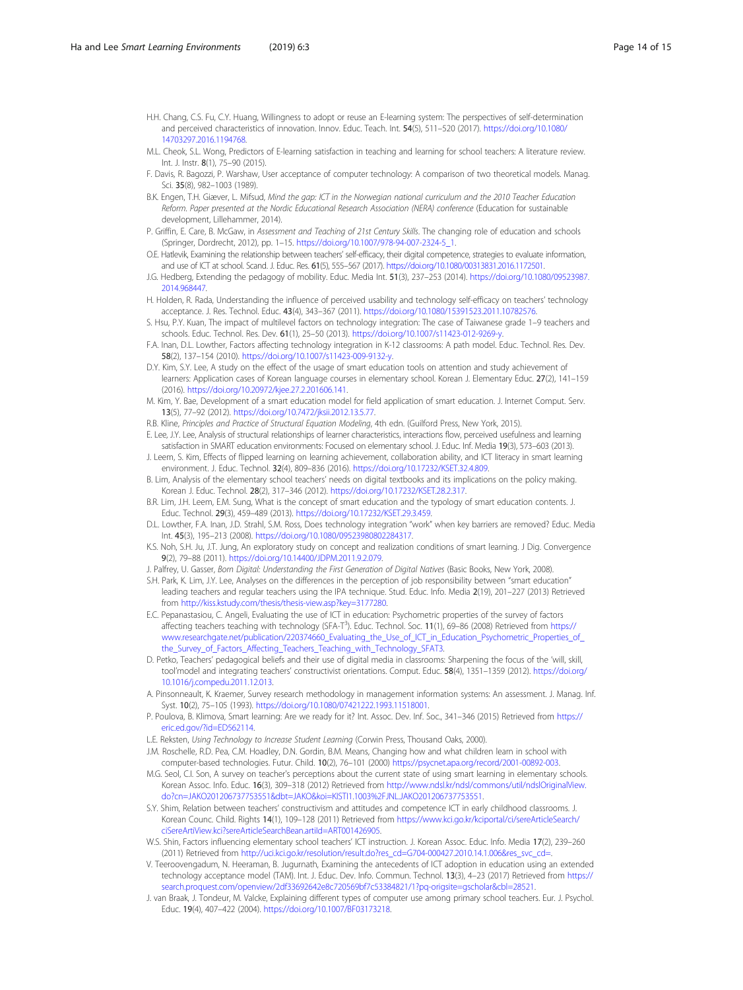- <span id="page-13-0"></span>H.H. Chang, C.S. Fu, C.Y. Huang, Willingness to adopt or reuse an E-learning system: The perspectives of self-determination and perceived characteristics of innovation. Innov. Educ. Teach. Int. 54(5), 511–520 (2017). [https://doi.org/10.1080/](https://doi.org/10.1080/14703297.2016.1194768) [14703297.2016.1194768.](https://doi.org/10.1080/14703297.2016.1194768)
- M.L. Cheok, S.L. Wong, Predictors of E-learning satisfaction in teaching and learning for school teachers: A literature review. Int. J. Instr. 8(1), 75–90 (2015).
- F. Davis, R. Bagozzi, P. Warshaw, User acceptance of computer technology: A comparison of two theoretical models. Manag. Sci. 35(8), 982–1003 (1989).
- B.K. Engen, T.H. Giæver, L. Mifsud, Mind the gap: ICT in the Norwegian national curriculum and the 2010 Teacher Education Reform. Paper presented at the Nordic Educational Research Association (NERA) conference (Education for sustainable development, Lillehammer, 2014).
- P. Griffin, E. Care, B. McGaw, in Assessment and Teaching of 21st Century Skills. The changing role of education and schools (Springer, Dordrecht, 2012), pp. 1–15. [https://doi.org/10.1007/978-94-007-2324-5\\_1.](https://doi.org/10.1007/978-94-007-2324-5_1)
- O.E. Hatlevik, Examining the relationship between teachers' self-efficacy, their digital competence, strategies to evaluate information, and use of ICT at school. Scand. J. Educ. Res. 61(5), 555–567 (2017). [https://doi.org/10.1080/00313831.2016.1172501.](https://doi.org/10.1080/00313831.2016.1172501)
- J.G. Hedberg, Extending the pedagogy of mobility. Educ. Media Int. 51(3), 237–253 (2014). [https://doi.org/10.1080/09523987.](https://doi.org/10.1080/09523987.2014.968447) [2014.968447.](https://doi.org/10.1080/09523987.2014.968447)
- H. Holden, R. Rada, Understanding the influence of perceived usability and technology self-efficacy on teachers' technology acceptance. J. Res. Technol. Educ. 43(4), 343–367 (2011). [https://doi.org/10.1080/15391523.2011.10782576.](https://doi.org/10.1080/15391523.2011.10782576)
- S. Hsu, P.Y. Kuan, The impact of multilevel factors on technology integration: The case of Taiwanese grade 1–9 teachers and schools. Educ. Technol. Res. Dev. 61(1), 25–50 (2013). [https://doi.org/10.1007/s11423-012-9269-y.](https://doi.org/10.1007/s11423-012-9269-y)
- F.A. Inan, D.L. Lowther, Factors affecting technology integration in K-12 classrooms: A path model. Educ. Technol. Res. Dev. 58(2), 137–154 (2010). <https://doi.org/10.1007/s11423-009-9132-y>.
- D.Y. Kim, S.Y. Lee, A study on the effect of the usage of smart education tools on attention and study achievement of learners: Application cases of Korean language courses in elementary school. Korean J. Elementary Educ. 27(2), 141–159 (2016). [https://doi.org/10.20972/kjee.27.2.201606.141.](https://doi.org/10.20972/kjee.27.2.201606.141)
- M. Kim, Y. Bae, Development of a smart education model for field application of smart education. J. Internet Comput. Serv. 13(5), 77–92 (2012). [https://doi.org/10.7472/jksii.2012.13.5.77.](https://doi.org/10.7472/jksii.2012.13.5.77)
- R.B. Kline, Principles and Practice of Structural Equation Modeling, 4th edn. (Guilford Press, New York, 2015).
- E. Lee, J.Y. Lee, Analysis of structural relationships of learner characteristics, interactions flow, perceived usefulness and learning satisfaction in SMART education environments: Focused on elementary school. J. Educ. Inf. Media 19(3), 573–603 (2013).
- J. Leem, S. Kim, Effects of flipped learning on learning achievement, collaboration ability, and ICT literacy in smart learning environment. J. Educ. Technol. 32(4), 809–836 (2016). <https://doi.org/10.17232/KSET.32.4.809>.
- B. Lim, Analysis of the elementary school teachers' needs on digital textbooks and its implications on the policy making. Korean J. Educ. Technol. 28(2), 317–346 (2012). <https://doi.org/10.17232/KSET.28.2.317>.
- B.R. Lim, J.H. Leem, E.M. Sung, What is the concept of smart education and the typology of smart education contents. J. Educ. Technol. 29(3), 459–489 (2013). <https://doi.org/10.17232/KSET.29.3.459>.
- D.L. Lowther, F.A. Inan, J.D. Strahl, S.M. Ross, Does technology integration "work" when key barriers are removed? Educ. Media Int. 45(3), 195–213 (2008). <https://doi.org/10.1080/09523980802284317>.
- K.S. Noh, S.H. Ju, J.T. Jung, An exploratory study on concept and realization conditions of smart learning. J Dig. Convergence 9(2), 79–88 (2011). [https://doi.org/10.14400/JDPM.2011.9.2.079.](https://doi.org/10.14400/JDPM.2011.9.2.079)
- J. Palfrey, U. Gasser, Born Digital: Understanding the First Generation of Digital Natives (Basic Books, New York, 2008). S.H. Park, K. Lim, J.Y. Lee, Analyses on the differences in the perception of job responsibility between "smart education" leading teachers and regular teachers using the IPA technique. Stud. Educ. Info. Media 2(19), 201–227 (2013) Retrieved from [http://kiss.kstudy.com/thesis/thesis-view.asp?key=3177280.](http://kiss.kstudy.com/thesis/thesis-view.asp?key=3177280)
- E.C. Pepanastasiou, C. Angeli, Evaluating the use of ICT in education: Psychometric properties of the survey of factors affecting teachers teaching with technology (SFA-T<sup>3</sup>). Educ. Technol. Soc. 11(1), 69-86 (2008) Retrieved from [https://](https://www.researchgate.net/publication/220374660_Evaluating_the_Use_of_ICT_in_Education_Psychometric_Properties_of_the_Survey_of_Factors_Affecting_Teachers_Teaching_with_Technology_SFAT3) www.researchgate.net/publication/220374660\_Evaluating\_the\_Use\_of\_ICT\_in\_Education\_Psychometric\_Properties\_of [the\\_Survey\\_of\\_Factors\\_Affecting\\_Teachers\\_Teaching\\_with\\_Technology\\_SFAT3](https://www.researchgate.net/publication/220374660_Evaluating_the_Use_of_ICT_in_Education_Psychometric_Properties_of_the_Survey_of_Factors_Affecting_Teachers_Teaching_with_Technology_SFAT3).
- D. Petko, Teachers' pedagogical beliefs and their use of digital media in classrooms: Sharpening the focus of the 'will, skill, tool'model and integrating teachers' constructivist orientations. Comput. Educ. 58(4), 1351–1359 (2012). [https://doi.org/](https://doi.org/10.1016/j.compedu.2011.12.013) [10.1016/j.compedu.2011.12.013](https://doi.org/10.1016/j.compedu.2011.12.013).
- A. Pinsonneault, K. Kraemer, Survey research methodology in management information systems: An assessment. J. Manag. Inf. Syst. 10(2), 75–105 (1993). <https://doi.org/10.1080/07421222.1993.11518001>.
- P. Poulova, B. Klimova, Smart learning: Are we ready for it? Int. Assoc. Dev. Inf. Soc., 341–346 (2015) Retrieved from [https://](https://eric.ed.gov/?id=ED562114) [eric.ed.gov/?id=ED562114](https://eric.ed.gov/?id=ED562114).
- L.E. Reksten, Using Technology to Increase Student Learning (Corwin Press, Thousand Oaks, 2000).
- J.M. Roschelle, R.D. Pea, C.M. Hoadley, D.N. Gordin, B.M. Means, Changing how and what children learn in school with computer-based technologies. Futur. Child. 10(2), 76–101 (2000) <https://psycnet.apa.org/record/2001-00892-003>.
- M.G. Seol, C.I. Son, A survey on teacher's perceptions about the current state of using smart learning in elementary schools. Korean Assoc. Info. Educ. 16(3), 309–318 (2012) Retrieved from [http://www.ndsl.kr/ndsl/commons/util/ndslOriginalView.](http://www.ndsl.kr/ndsl/commons/util/ndslOriginalView.do?cn=JAKO201206737753551&dbt=JAKO&koi=KISTI1.1003%2FJNL.JAKO201206737753551) [do?cn=JAKO201206737753551&dbt=JAKO&koi=KISTI1.1003%2FJNL.JAKO201206737753551.](http://www.ndsl.kr/ndsl/commons/util/ndslOriginalView.do?cn=JAKO201206737753551&dbt=JAKO&koi=KISTI1.1003%2FJNL.JAKO201206737753551)
- S.Y. Shim, Relation between teachers' constructivism and attitudes and competence ICT in early childhood classrooms. J. Korean Counc. Child. Rights 14(1), 109–128 (2011) Retrieved from [https://www.kci.go.kr/kciportal/ci/sereArticleSearch/](https://www.kci.go.kr/kciportal/ci/sereArticleSearch/ciSereArtiView.kci?sereArticleSearchBean.artiId=ART001426905) [ciSereArtiView.kci?sereArticleSearchBean.artiId=ART001426905.](https://www.kci.go.kr/kciportal/ci/sereArticleSearch/ciSereArtiView.kci?sereArticleSearchBean.artiId=ART001426905)
- W.S. Shin, Factors influencing elementary school teachers' ICT instruction. J. Korean Assoc. Educ. Info. Media 17(2), 239–260 (2011) Retrieved from [http://uci.kci.go.kr/resolution/result.do?res\\_cd=G704-000427.2010.14.1.006&res\\_svc\\_cd=.](http://uci.kci.go.kr/resolution/result.do?res_cd=G704-000427.2010.14.1.006&res_svc_cd=)
- V. Teeroovengadum, N. Heeraman, B. Jugurnath, Examining the antecedents of ICT adoption in education using an extended technology acceptance model (TAM). Int. J. Educ. Dev. Info. Commun. Technol. 13(3), 4–23 (2017) Retrieved from [https://](https://search.proquest.com/openview/2df33692642e8c720569bf7c53384821/1?pq-origsite=gscholar&cbl=28521) [search.proquest.com/openview/2df33692642e8c720569bf7c53384821/1?pq-origsite=gscholar&cbl=28521.](https://search.proquest.com/openview/2df33692642e8c720569bf7c53384821/1?pq-origsite=gscholar&cbl=28521)
- J. van Braak, J. Tondeur, M. Valcke, Explaining different types of computer use among primary school teachers. Eur. J. Psychol. Educ. 19(4), 407–422 (2004). [https://doi.org/10.1007/BF03173218.](https://doi.org/10.1007/BF03173218)